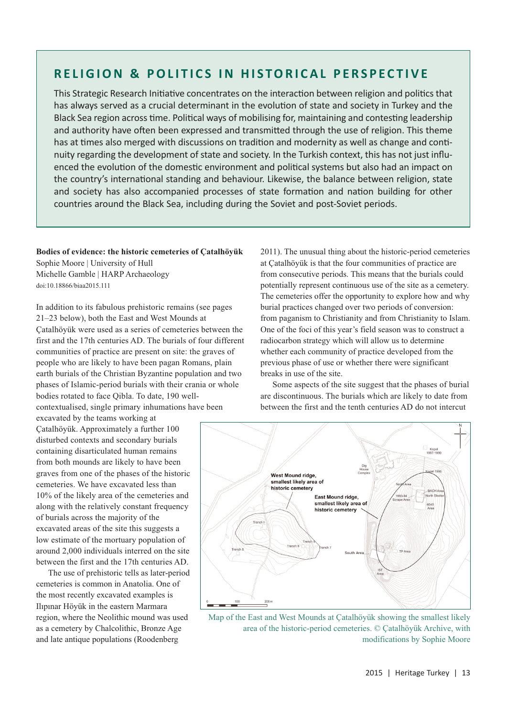## **RELIGION & POLITICS IN HISTORICAL PERSPECTIVE**

This Strategic Research Initiative concentrates on the interaction between religion and politics that has always served as a crucial determinant in the evolution of state and society in Turkey and the Black Sea region across time. Political ways of mobilising for, maintaining and contesting leadership and authority have often been expressed and transmitted through the use of religion. This theme has at times also merged with discussions on tradition and modernity as well as change and conti‐ nuity regarding the development of state and society. In the Turkish context, this has not just influ‐ enced the evolution of the domestic environment and political systems but also had an impact on the country's international standing and behaviour. Likewise, the balance between religion, state and society has also accompanied processes of state formation and nation building for other countries around the Black Sea, including during the Soviet and post‐Soviet periods.

**Bodies of evidence: the historic cemeteries of Çatalhöyük** Sophie Moore | University of Hull Michelle Gamble | HARP Archaeology doi:10.18866/biaa2015.111

In addition to its fabulous prehistoric remains (see pages 21–23 below), both the East and West Mounds at Çatalhöyük were used as a series of cemeteries between the first and the 17th centuries AD. The burials of four different communities of practice are present on site: the graves of people who are likely to have been pagan Romans, plain earth burials of the Christian Byzantine population and two phases of Islamic-period burials with their crania or whole bodies rotated to face Qibla. To date, 190 wellcontextualised, single primary inhumations have been

excavated by the teams working at Çatalhöyük. Approximately a further 100 disturbed contexts and secondary burials containing disarticulated human remains from both mounds are likely to have been graves from one of the phases of the historic cemeteries. We have excavated less than 10% of the likely area of the cemeteries and along with the relatively constant frequency of burials across the majority of the excavated areas of the site this suggests a low estimate of the mortuary population of around 2,000 individuals interred on the site between the first and the 17th centuries AD.

The use of prehistoric tells as later-period cemeteries is common in Anatolia. One of the most recently excavated examples is Ilıpınar Höyük in the eastern Marmara region, where the Neolithic mound was used as a cemetery by Chalcolithic, Bronze Age and late antique populations (Roodenberg

2011). The unusual thing about the historic-period cemeteries at Çatalhöyük is that the four communities of practice are from consecutive periods. This means that the burials could potentially represent continuous use of the site as a cemetery. The cemeteries offer the opportunity to explore how and why burial practices changed over two periods of conversion: from paganism to Christianity and from Christianity to Islam. One of the foci of this year's field season was to construct a radiocarbon strategy which will allow us to determine whether each community of practice developed from the previous phase of use or whether there were significant breaks in use of the site.

Some aspects of the site suggest that the phases of burial are discontinuous. The burials which are likely to date from between the first and the tenth centuries AD do not intercut



Map of the East and West Mounds at Çatalhöyük showing the smallest likely area of the historic-period cemeteries. © Çatalhöyük Archive, with modifications by Sophie Moore